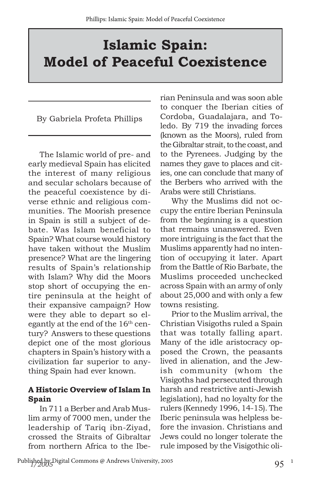# **Islamic Spain: Model of Peaceful Coexistence**

By Gabriela Profeta Phillips

The Islamic world of pre- and early medieval Spain has elicited the interest of many religious and secular scholars because of the peaceful coexistence by diverse ethnic and religious communities. The Moorish presence in Spain is still a subject of debate. Was Islam beneficial to Spain? What course would history have taken without the Muslim presence? What are the lingering results of Spain's relationship with Islam? Why did the Moors stop short of occupying the entire peninsula at the height of their expansive campaign? How were they able to depart so elegantly at the end of the  $16<sup>th</sup>$  century? Answers to these questions depict one of the most glorious chapters in Spain's history with a civilization far superior to anything Spain had ever known.

#### **A Historic Overview of Islam In Spain**

In 711 a Berber and Arab Muslim army of 7000 men, under the leadership of Tariq ibn-Ziyad, crossed the Straits of Gibraltar from northern Africa to the Iberian Peninsula and was soon able to conquer the Iberian cities of Cordoba, Guadalajara, and Toledo. By 719 the invading forces (known as the Moors), ruled from the Gibraltar strait, to the coast, and to the Pyrenees. Judging by the names they gave to places and cities, one can conclude that many of the Berbers who arrived with the Arabs were still Christians.

Why the Muslims did not occupy the entire Iberian Peninsula from the beginning is a question that remains unanswered. Even more intriguing is the fact that the Muslims apparently had no intention of occupying it later. Apart from the Battle of Rio Barbate, the Muslims proceeded unchecked across Spain with an army of only about 25,000 and with only a few towns resisting.

Prior to the Muslim arrival, the Christian Visigoths ruled a Spain that was totally falling apart. Many of the idle aristocracy opposed the Crown, the peasants lived in alienation, and the Jewish community (whom the Visigoths had persecuted through harsh and restrictive anti-Jewish legislation), had no loyalty for the rulers (Kennedy 1996, 14-15). The Iberic peninsula was helpless before the invasion. Christians and Jews could no longer tolerate the rule imposed by the Visigothic oli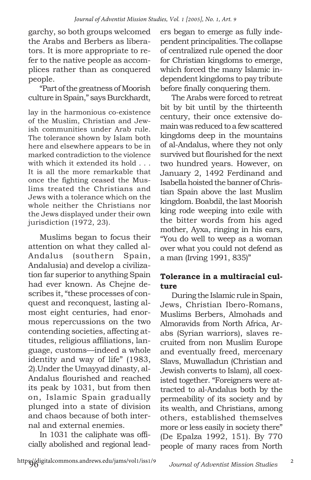garchy, so both groups welcomed the Arabs and Berbers as liberators. It is more appropriate to refer to the native people as accomplices rather than as conquered people.

"Part of the greatness of Moorish culture in Spain," says Burckhardt,

lay in the harmonious co-existence of the Muslim, Christian and Jewish communities under Arab rule. The tolerance shown by Islam both here and elsewhere appears to be in marked contradiction to the violence with which it extended its hold . . . It is all the more remarkable that once the fighting ceased the Muslims treated the Christians and Jews with a tolerance which on the whole neither the Christians nor the Jews displayed under their own jurisdiction (1972, 23).

Muslims began to focus their attention on what they called al-Andalus (southern Spain, Andalusia) and develop a civilization far superior to anything Spain had ever known. As Chejne describes it, "these processes of conquest and reconquest, lasting almost eight centuries, had enormous repercussions on the two contending societies, affecting attitudes, religious affiliations, language, customs—indeed a whole identity and way of life" (1983, 2).Under the Umayyad dinasty, al-Andalus flourished and reached its peak by 1031, but from then on, Islamic Spain gradually plunged into a state of division and chaos because of both internal and external enemies.

In 1031 the caliphate was officially abolished and regional leaders began to emerge as fully independent principalities. The collapse of centralized rule opened the door for Christian kingdoms to emerge, which forced the many Islamic independent kingdoms to pay tribute before finally conquering them.

The Arabs were forced to retreat bit by bit until by the thirteenth century, their once extensive domain was reduced to a few scattered kingdoms deep in the mountains of al-Andalus, where they not only survived but flourished for the next two hundred years. However, on January 2, 1492 Ferdinand and Isabella hoisted the banner of Christian Spain above the last Muslim kingdom. Boabdil, the last Moorish king rode weeping into exile with the bitter words from his aged mother, Ayxa, ringing in his ears, "You do well to weep as a woman over what you could not defend as a man (Irving 1991, 835)"

#### **Tolerance in a multiracial culture**

During the Islamic rule in Spain, Jews, Christian Ibero-Romans, Muslims Berbers, Almohads and Almoravids from North Africa, Arabs (Syrian warriors), slaves recruited from non Muslim Europe and eventually freed, mercenary Slavs, Muwalladun (Christian and Jewish converts to Islam), all coexisted together. "Foreigners were attracted to al-Andalus both by the permeability of its society and by its wealth, and Christians, among others, established themselves more or less easily in society there" (De Epalza 1992, 151). By 770 people of many races from North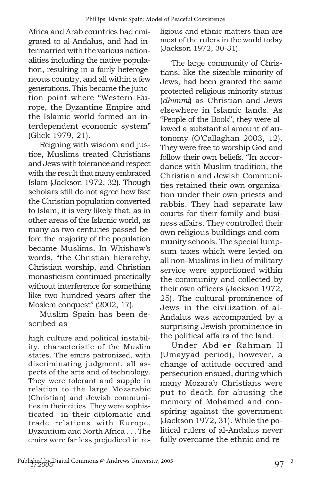Africa and Arab countries had emigrated to al-Andalus, and had intermarried with the various nationalities including the native population, resulting in a fairly heterogeneous country, and all within a few generations. This became the junction point where "Western Europe, the Byzantine Empire and the Islamic world formed an interdependent economic system" (Glick 1979, 21).

Reigning with wisdom and justice, Muslims treated Christians and Jews with tolerance and respect with the result that many embraced Islam (Jackson 1972, 32). Though scholars still do not agree how fast the Christian population converted to Islam, it is very likely that, as in other areas of the Islamic world, as many as two centuries passed before the majority of the population became Muslims. In Whishaw's words, "the Christian hierarchy, Christian worship, and Christian monasticism continued practically without interference for something like two hundred years after the Moslem conquest" (2002, 17).

Muslim Spain has been described as

high culture and political instability, characteristic of the Muslim states. The emirs patronized, with discriminating judgment, all aspects of the arts and of technology. They were tolerant and supple in relation to the large Mozarabic (Christian) and Jewish communities in their cities. They were sophisticated in their diplomatic and trade relations with Europe, Byzantium and North Africa . . . The emirs were far less prejudiced in religious and ethnic matters than are most of the rulers in the world today (Jackson 1972, 30-31).

The large community of Christians, like the sizeable minority of Jews, had been granted the same protected religious minority status (*dhimmi*) as Christian and Jews elsewhere in Islamic lands. As "People of the Book", they were allowed a substantial amount of autonomy (O'Callaghan 2003, 12). They were free to worship God and follow their own beliefs. "In accordance with Muslim tradition, the Christian and Jewish Communities retained their own organization under their own priests and rabbis. They had separate law courts for their family and business affairs. They controlled their own religious buildings and community schools. The special lumpsum taxes which were levied on all non-Muslims in lieu of military service were apportioned within the community and collected by their own officers (Jackson 1972, 25). The cultural prominence of Jews in the civilization of al-Andalus was accompanied by a surprising Jewish prominence in the political affairs of the land.

Under Abd-er Rahman II (Umayyad period), however, a change of attitude occured and persecution ensued, during which many Mozarab Christians were put to death for abusing the memory of Mohamed and conspiring against the government (Jackson 1972, 31). While the political rulers of al-Andalus never fully overcame the ethnic and re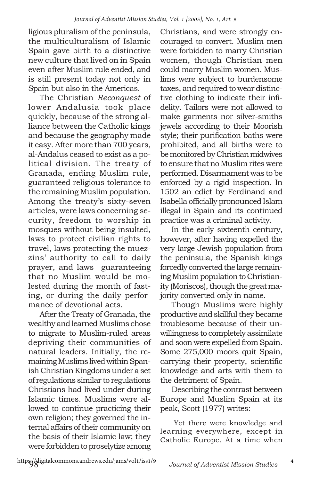ligious pluralism of the peninsula, the multiculturalism of Islamic Spain gave birth to a distinctive new culture that lived on in Spain even after Muslim rule ended, and is still present today not only in Spain but also in the Americas.

The Christian *Reconquest* of lower Andalusia took place quickly, because of the strong alliance between the Catholic kings and because the geography made it easy. After more than 700 years, al-Andalus ceased to exist as a political division. The treaty of Granada, ending Muslim rule, guaranteed religious tolerance to the remaining Muslim population. Among the treaty's sixty-seven articles, were laws concerning security, freedom to worship in mosques without being insulted, laws to protect civilian rights to travel, laws protecting the muezzins' authority to call to daily prayer, and laws guaranteeing that no Muslim would be molested during the month of fasting, or during the daily performance of devotional acts.

After the Treaty of Granada, the wealthy and learned Muslims chose to migrate to Muslim-ruled areas depriving their communities of natural leaders. Initially, the remaining Muslims lived within Spanish Christian Kingdoms under a set of regulations similar to regulations Christians had lived under during Islamic times. Muslims were allowed to continue practicing their own religion; they governed the internal affairs of their community on the basis of their Islamic law; they were forbidden to proselytize among

Christians, and were strongly encouraged to convert. Muslim men were forbidden to marry Christian women, though Christian men could marry Muslim women. Muslims were subject to burdensome taxes, and required to wear distinctive clothing to indicate their infidelity. Tailors were not allowed to make garments nor silver-smiths jewels according to their Moorish style; their purification baths were prohibited, and all births were to be monitored by Christian midwives to ensure that no Muslim rites were performed. Disarmament was to be enforced by a rigid inspection. In 1502 an edict by Ferdinand and Isabella officially pronounced Islam illegal in Spain and its continued practice was a criminal activity.

In the early sixteenth century, however, after having expelled the very large Jewish population from the peninsula, the Spanish kings forcedly converted the large remaining Muslim population to Christianity (Moriscos), though the great majority converted only in name.

Though Muslims were highly productive and skillful they became troublesome because of their unwillingness to completely assimilate and soon were expelled from Spain. Some 275,000 moors quit Spain, carrying their property, scientific knowledge and arts with them to the detriment of Spain.

Describing the contrast between Europe and Muslim Spain at its peak, Scott (1977) writes:

 Yet there were knowledge and learning everywhere, except in Catholic Europe. At a time when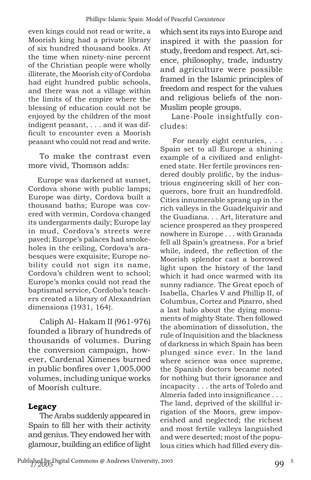even kings could not read or write, a Moorish king had a private library of six hundred thousand books. At the time when ninety-nine percent of the Christian people were wholly illiterate, the Moorish city of Cordoba had eight hundred public schools, and there was not a village within the limits of the empire where the blessing of education could not be enjoyed by the children of the most indigent peasant, . . . and it was difficult to encounter even a Moorish peasant who could not read and write.

To make the contrast even more vivid, Thomson adds:

 Europe was darkened at sunset, Cordova shone with public lamps; Europe was dirty, Cordova built a thousand baths; Europe was covered with vermin, Cordova changed its undergarments daily; Europe lay in mud, Cordova's streets were paved; Europe's palaces had smokeholes in the ceiling, Cordova's arabesques were exquisite; Europe nobility could not sign its name, Cordova's children went to school; Europe's monks could not read the baptismal service, Cordoba's teachers created a library of Alexandrian dimensions (1931, 164).

Caliph Al- Hakam II (961-976) founded a library of hundreds of thousands of volumes. During the conversion campaign, however, Cardenal Ximenes burned in public bonfires over 1,005,000 volumes, including unique works of Moorish culture.

### **Legacy**

The Arabs suddenly appeared in Spain to fill her with their activity and genius. They endowed her with glamour, building an edifice of light which sent its rays into Europe and inspired it with the passion for study, freedom and respect. Art, science, philosophy, trade, industry and agriculture were possible framed in the Islamic principles of freedom and respect for the values and religious beliefs of the non-Muslim people groups.

Lane-Poole insightfully concludes:

 For nearly eight centuries, . . . Spain set to all Europe a shining example of a civilized and enlightened state. Her fertile provinces rendered doubly prolific, by the industrious engineering skill of her conquerors, bore fruit an hundredfold. Cities innumerable sprang up in the rich valleys in the Guadelquivir and the Guadiana. . . Art, literature and science prospered as they prospered nowhere in Europe . . . with Granada fell all Spain's greatness. For a brief while, indeed, the reflection of the Moorish splendor cast a borrowed light upon the history of the land which it had once warmed with its sunny radiance. The Great epoch of Isabella, Charles V and Phillip II, of Columbus, Cortez and Pizarro, shed a last halo about the dying monuments of mighty State. Then followed the abomination of dissolution, the rule of Inquisition and the blackness of darkness in which Spain has been plunged since ever. In the land where science was once supreme, the Spanish doctors became noted for nothing but their ignorance and incapacity . . . the arts of Toledo and Almeria faded into insignificance . . . The land, deprived of the skillful irrigation of the Moors, grew impoverished and neglected; the richest and most fertile valleys languished and were deserted; most of the populous cities which had filled every dis